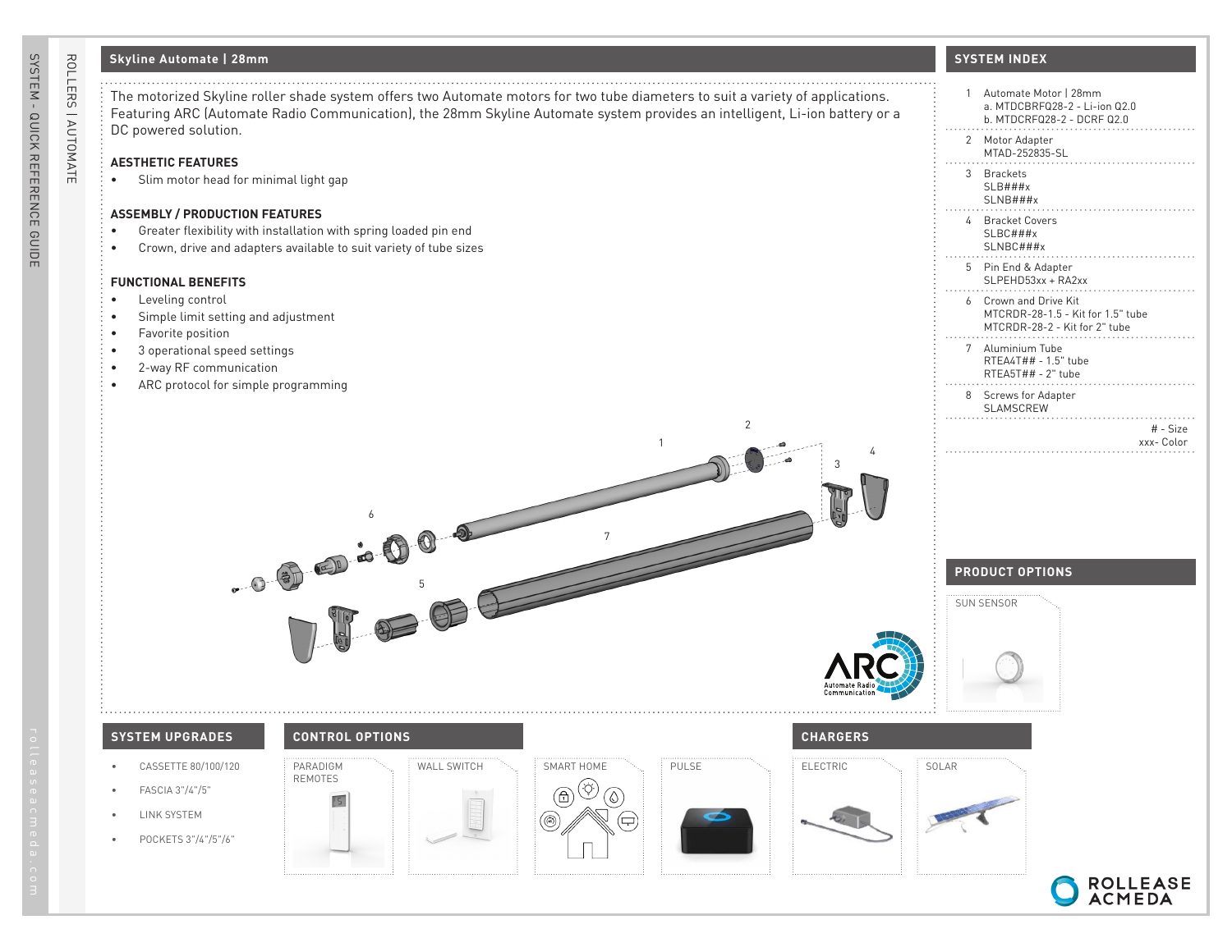# **Skyline Automate | 28mm**

## **AESTHETIC FEATURES**

• Slim motor head for minimal light gap

## **ASSEMBLY / PRODUCTION FEATURES**

- Greater flexibility with installation with spring loaded pin end
- Crown, drive and adapters available to suit variety of tube sizes

#### **FUNCTIONAL BENEFITS**

- Leveling control
- Simple limit setting and adjustment
- Favorite position
- 3 operational speed settings
- 2-way RF communication
- ARC protocol for simple programming

# **SYSTEM INDEX**

| system offers two Automate motors for two tube diameters to suit a variety of applications.<br>nmunication), the 28mm Skyline Automate system provides an intelligent, Li-ion battery or a | 1 Automate Motor   28mm<br>a. MTDCBRFQ28-2 - Li-ion Q2.0<br>b. MTDCRFQ28-2 - DCRF Q2.0      |
|--------------------------------------------------------------------------------------------------------------------------------------------------------------------------------------------|---------------------------------------------------------------------------------------------|
|                                                                                                                                                                                            | 2 Motor Adapter<br>MTAD-252835-SL                                                           |
| gap                                                                                                                                                                                        | 3 Brackets<br>SLB###x<br>SLNB###x                                                           |
| vith spring loaded pin end<br>e to suit variety of tube sizes                                                                                                                              | 4 Bracket Covers<br>SLBC###x<br>SLNBC###x                                                   |
|                                                                                                                                                                                            | 5 Pin End & Adapter<br>SLPEHD53xx + RA2xx                                                   |
| t                                                                                                                                                                                          | 6 Crown and Drive Kit<br>MTCRDR-28-1.5 - Kit for 1.5" tube<br>MTCRDR-28-2 - Kit for 2" tube |
| ing                                                                                                                                                                                        | 7 Aluminium Tube<br>RTEA4T## - 1.5" tube<br>RTEA5T## - 2" tube                              |
|                                                                                                                                                                                            | 8 Screws for Adapter<br>SLAMSCREW                                                           |
| $\overline{2}$<br>$\mathbf{1}$                                                                                                                                                             | # - Size<br>xxx- Color                                                                      |
| ć                                                                                                                                                                                          |                                                                                             |
| $\overline{7}$                                                                                                                                                                             |                                                                                             |
| $\frac{1}{10}$ as $\frac{1}{10}$                                                                                                                                                           | <b>PRODUCT OPTIONS</b>                                                                      |
|                                                                                                                                                                                            | SUN SENSOR                                                                                  |
| Communication                                                                                                                                                                              |                                                                                             |
| <b>CHARGERS</b><br><b>ROL OPTIONS</b>                                                                                                                                                      |                                                                                             |
| WALL SWITCH<br>SMART HOME<br>PULSE<br>ELECTRIC<br>ЭΜ                                                                                                                                       | SOLAR                                                                                       |
| S<br>Ö<br>⊕<br>0)<br>$\frac{1}{2}$                                                                                                                                                         |                                                                                             |
| 모)                                                                                                                                                                                         |                                                                                             |



# SYSTEM - QUICK REFERENCE GUIDE SYSTEM - QUICK REFERENCE GUIDE

ROLLERS | AUTOMATE

ROLLERS | AUTOMATE

# **SYSTEM UPGRADES CONTROL OPTIONS CHARGERS**

REMOTES

- CASSETTE 80/100/120
- FASCIA 3"/4"/5"
- LINK SYSTEM
- POCKETS 3"/4"/5"/6"

PARADIGM